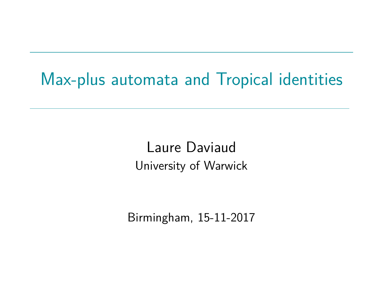# Max-plus automata and Tropical identities

Laure Daviaud University of Warwick

Birmingham, 15-11-2017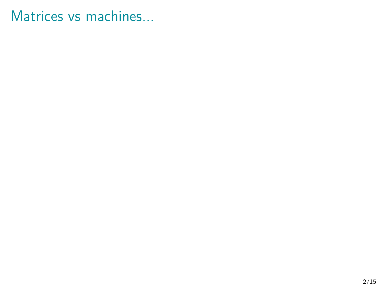## Matrices vs machines...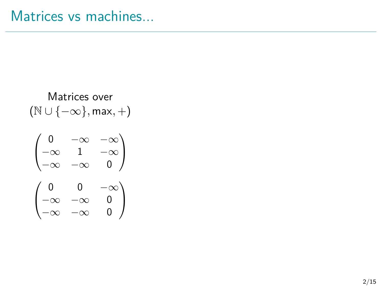$$
\begin{array}{c} \text{Matrices over} \\ \text{(\mathbb{N} \cup \{-\infty\}, \text{max}, +)} \end{array}
$$

$$
\begin{pmatrix} 0 & -\infty & -\infty \\ -\infty & 1 & -\infty \\ -\infty & -\infty & 0 \end{pmatrix}
$$

$$
\begin{pmatrix} 0 & 0 & -\infty \\ -\infty & -\infty & 0 \\ -\infty & -\infty & 0 \end{pmatrix}
$$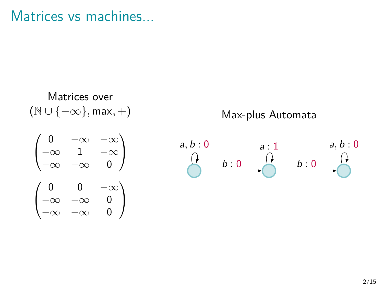Matrices over (N ∪ {−∞}*,* max*,* +)

Max-plus Automata



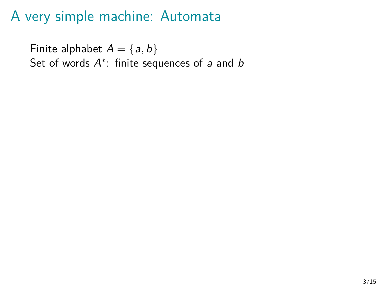Finite alphabet  $A = \{a, b\}$ Set of words  $A^*$ : finite sequences of a and  $b$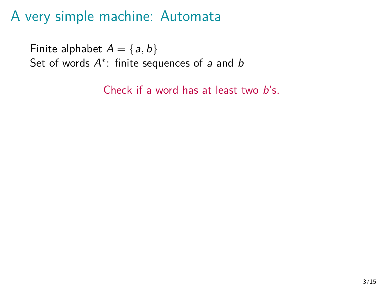Finite alphabet  $A = \{a, b\}$ Set of words  $A^*$ : finite sequences of a and  $b$ 

Check if a word has at least two b's.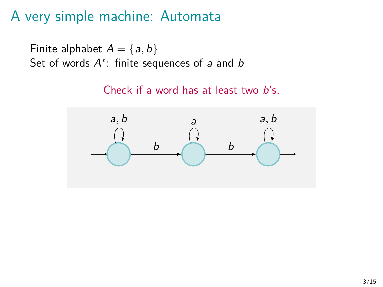Finite alphabet  $A = \{a, b\}$ Set of words  $A^*$ : finite sequences of a and  $b$ 

Check if a word has at least two b's.

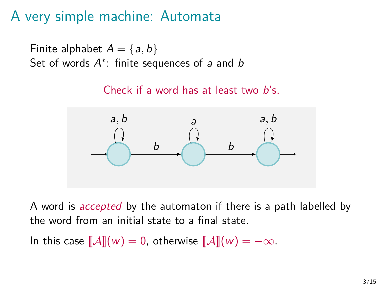Finite alphabet  $A = \{a, b\}$ Set of words  $A^*$ : finite sequences of a and  $b$ 

Check if a word has at least two b's.



A word is *accepted* by the automaton if there is a path labelled by the word from an initial state to a final state.

In this case  $\llbracket \mathcal{A} \rrbracket(w) = 0$ , otherwise  $\llbracket \mathcal{A} \rrbracket(w) = -\infty$ .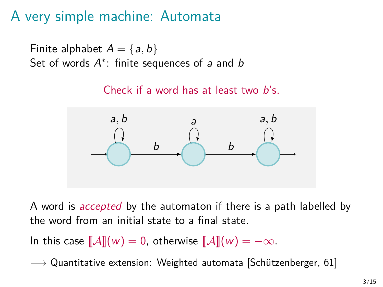Finite alphabet  $A = \{a, b\}$ Set of words  $A^*$ : finite sequences of a and  $b$ 

Check if a word has at least two b's.



A word is *accepted* by the automaton if there is a path labelled by the word from an initial state to a final state.

In this case  $\llbracket \mathcal{A} \rrbracket(w) = 0$ , otherwise  $\llbracket \mathcal{A} \rrbracket(w) = -\infty$ .

 $\rightarrow$  Quantitative extension: Weighted automata [Schützenberger, 61]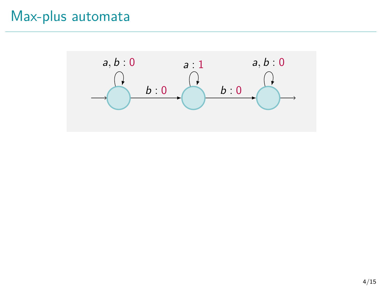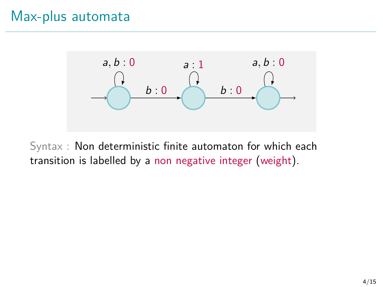

Syntax : Non deterministic finite automaton for which each transition is labelled by a non negative integer (weight).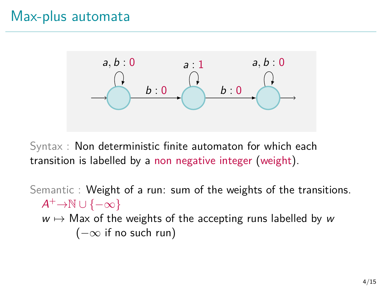

Syntax : Non deterministic finite automaton for which each transition is labelled by a non negative integer (weight).

Semantic : Weight of a run: sum of the weights of the transitions.  $A^+\rightarrow \mathbb{N} \cup \{-\infty\}$  $w \mapsto$  Max of the weights of the accepting runs labelled by w  $(-\infty)$  if no such run)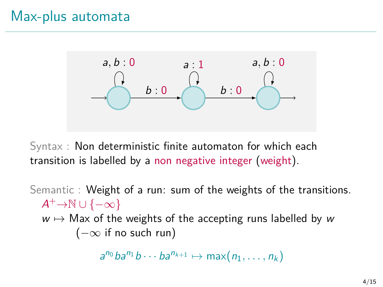

Syntax : Non deterministic finite automaton for which each transition is labelled by a non negative integer (weight).

Semantic : Weight of a run: sum of the weights of the transitions.  $A^+\rightarrow \mathbb{N} \cup \{-\infty\}$  $w \mapsto$  Max of the weights of the accepting runs labelled by w  $(-\infty)$  if no such run)

 $a^{n_0}ba^{n_1}b\cdots ba^{n_{k+1}} \mapsto \max(n_1,\ldots,n_k)$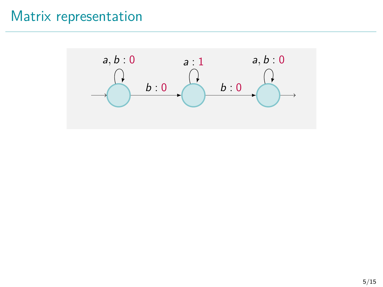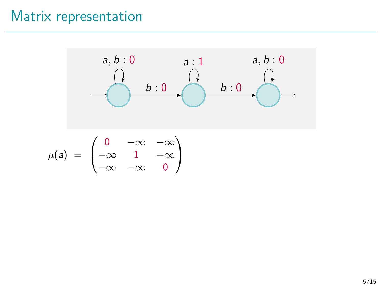

 $-\infty$   $-\infty$  0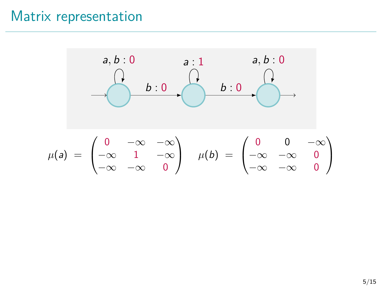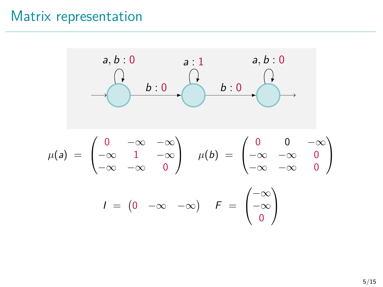$$
a, b: 0
$$
\n
$$
a: 1
$$
\n
$$
a, b: 0
$$
\n
$$
b: 0
$$
\n
$$
b: 0
$$
\n
$$
b: 0
$$
\n
$$
b: 0
$$
\n
$$
b: 0
$$
\n
$$
b: 0
$$
\n
$$
b: 0
$$
\n
$$
b: 0
$$
\n
$$
b: 0
$$
\n
$$
b: 0
$$
\n
$$
b: 0
$$
\n
$$
b: 0
$$
\n
$$
b: 0
$$
\n
$$
b: 0
$$
\n
$$
b: 0
$$
\n
$$
b: 0
$$
\n
$$
b: 0
$$
\n
$$
b: 0
$$
\n
$$
b: 0
$$
\n
$$
b: 0
$$
\n
$$
b: 0
$$
\n
$$
b: 0
$$
\n
$$
b: 0
$$
\n
$$
b: 0
$$
\n
$$
b: 0
$$
\n
$$
b: 0
$$
\n
$$
b: 0
$$
\n
$$
b: 0
$$
\n
$$
b: 0
$$
\n
$$
b: 0
$$
\n
$$
b: 0
$$
\n
$$
b: 0
$$
\n
$$
b: 0
$$
\n
$$
b: 0
$$
\n
$$
b: 0
$$
\n
$$
b: 0
$$
\n
$$
b: 0
$$
\n
$$
b: 0
$$
\n
$$
b: 0
$$
\n
$$
b: 0
$$
\n
$$
b: 0
$$
\n
$$
b: 0
$$
\n
$$
b: 0
$$
\n
$$
b: 0
$$
\n
$$
b: 0
$$
\n
$$
b: 0
$$
\n
$$
b: 0
$$
\n
$$
b: 0
$$
\n
$$
b: 0
$$
\n
$$
b: 0
$$
\n
$$
b: 0
$$
\n<math display="block</math>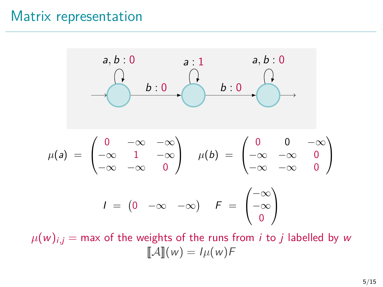

 $\mu(w)_{i,j}$  = max of the weights of the runs from *i* to *j* labelled by w  $\llbracket \mathcal{A} \rrbracket(w) = I\mu(w)F$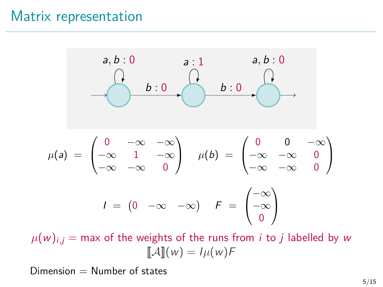$$
a, b: 0
$$
\n
$$
a: 1
$$
\n
$$
a, b: 0
$$
\n
$$
b: 0
$$
\n
$$
b: 0
$$
\n
$$
b: 0
$$
\n
$$
b: 0
$$
\n
$$
b: 0
$$
\n
$$
b: 0
$$
\n
$$
b: 0
$$
\n
$$
b: 0
$$
\n
$$
b: 0
$$
\n
$$
b: 0
$$
\n
$$
b: 0
$$
\n
$$
b: 0
$$
\n
$$
b: 0
$$
\n
$$
b: 0
$$
\n
$$
b: 0
$$
\n
$$
b: 0
$$
\n
$$
b: 0
$$
\n
$$
b: 0
$$
\n
$$
b: 0
$$
\n
$$
b: 0
$$
\n
$$
b: 0
$$
\n
$$
b: 0
$$
\n
$$
b: 0
$$
\n
$$
b: 0
$$
\n
$$
b: 0
$$
\n
$$
b: 0
$$
\n
$$
b: 0
$$
\n
$$
b: 0
$$
\n
$$
b: 0
$$
\n
$$
b: 0
$$
\n
$$
b: 0
$$
\n
$$
b: 0
$$
\n
$$
b: 0
$$
\n
$$
b: 0
$$
\n
$$
b: 0
$$
\n
$$
b: 0
$$
\n
$$
b: 0
$$
\n
$$
b: 0
$$
\n
$$
b: 0
$$
\n
$$
b: 0
$$
\n
$$
b: 0
$$
\n
$$
b: 0
$$
\n
$$
b: 0
$$
\n
$$
b: 0
$$
\n
$$
b: 0
$$
\n
$$
b: 0
$$
\n
$$
b: 0
$$
\n
$$
b: 0
$$
\n
$$
b: 0
$$
\n
$$
b: 0
$$
\n
$$
b: 0
$$
\n<math display="block</math>

 $\mu(w)_{i,j}$  = max of the weights of the runs from *i* to *j* labelled by w  $\llbracket \mathcal{A} \rrbracket(w) = I\mu(w)F$ 

 $Dimension = Number of states$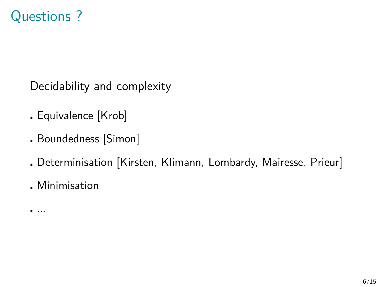Decidability and complexity

- Equivalence [Krob]
- Boundedness [Simon]
- Determinisation [Kirsten, Klimann, Lombardy, Mairesse, Prieur]
- Minimisation

...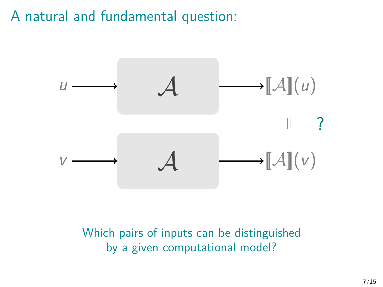## A natural and fundamental question:



Which pairs of inputs can be distinguished by a given computational model?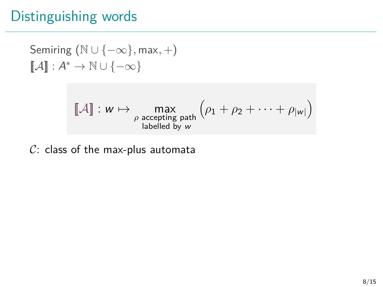Semiring (N ∪ {−∞}*,* max*,* +)  $\llbracket \mathcal{A} \rrbracket : \mathcal{A}^* \to \mathbb{N} \cup \{-\infty\}$ 

$$
\llbracket \mathcal{A} \rrbracket : w \mapsto \max_{\substack{\rho \text{ accepting path} \\ \text{labelled by } w}} \left( \rho_1 + \rho_2 + \cdots + \rho_{|w|} \right)
$$

 $C:$  class of the max-plus automata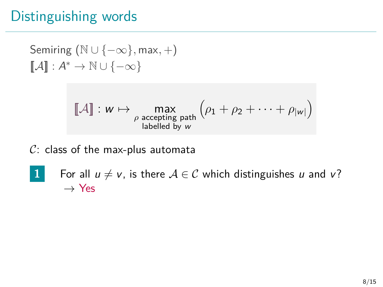Semiring (N ∪ {−∞}*,* max*,* +)  $\llbracket \mathcal{A} \rrbracket : \mathcal{A}^* \to \mathbb{N} \cup \{-\infty\}$ 

$$
\llbracket \mathcal{A} \rrbracket : w \mapsto \max_{\rho \text{ accepting path } \atop \text{labelled by } w} \left( \rho_1 + \rho_2 + \cdots + \rho_{|w|} \right)
$$

 $C:$  class of the max-plus automata

**1** For all  $u \neq v$ , is there  $A \in \mathcal{C}$  which distinguishes u and v?  $\rightarrow$  Yes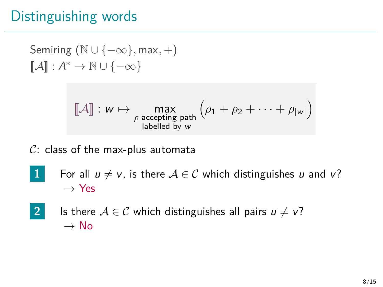$$
\begin{array}{l} \text{Semiring }(\mathbb{N}\cup\{-\infty\},\max,+) \\ \llbracket \mathcal{A}\rrbracket: \mathcal{A}^* \to \mathbb{N}\cup\{-\infty\} \end{array}
$$

$$
[\![\mathcal{A}]\!]: w \mapsto \max_{\substack{\rho \text{ accepting path}\\ \text{labelled by } w}} \left(\rho_1 + \rho_2 + \cdots + \rho_{|w|}\right)
$$

 $C:$  class of the max-plus automata

- **1** For all  $u \neq v$ , is there  $A \in \mathcal{C}$  which distinguishes u and v?  $\rightarrow$  Yes
- **2** Is there  $A \in \mathcal{C}$  which distinguishes all pairs  $u \neq v$ ?  $\rightarrow$  No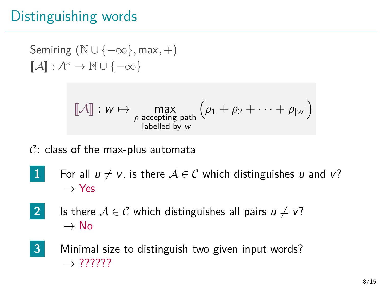$$
\begin{array}{l} \text{Semiring }(\mathbb{N}\cup\{-\infty\},\max,+) \\ \llbracket \mathcal{A}\rrbracket: \mathcal{A}^* \to \mathbb{N}\cup\{-\infty\} \end{array}
$$

$$
[\![\mathcal{A}]\!]: w \mapsto \max_{\substack{\rho \text{ accepting path}\\ \text{labelled by } w}} \left(\rho_1 + \rho_2 + \cdots + \rho_{|w|}\right)
$$

 $C:$  class of the max-plus automata

- **1** For all  $u \neq v$ , is there  $A \in \mathcal{C}$  which distinguishes u and v?  $\rightarrow$  Yes
- **2** Is there  $A \in \mathcal{C}$  which distinguishes all pairs  $u \neq v$ ?  $\rightarrow$  No
- **3** Minimal size to distinguish two given input words?  $\rightarrow$  ??????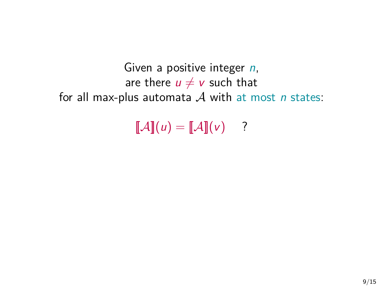```
Given a positive integer n,
             are there u \neq v such that
for all max-plus automata A with at most n states:
```
 $\llbracket \mathcal{A} \rrbracket(u) = \llbracket \mathcal{A} \rrbracket(v)$  ?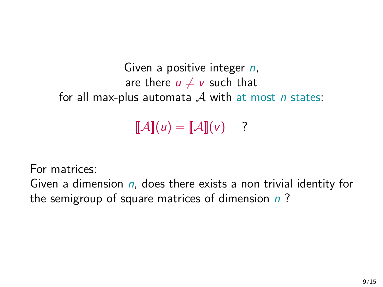```
Given a positive integer n,
             are there u \neq v such that
for all max-plus automata A with at most n states:
```
 $\llbracket \mathcal{A} \rrbracket(u) = \llbracket \mathcal{A} \rrbracket(v)$  ?

For matrices:

Given a dimension  $n$ , does there exists a non trivial identity for the semigroup of square matrices of dimension  $n$ ?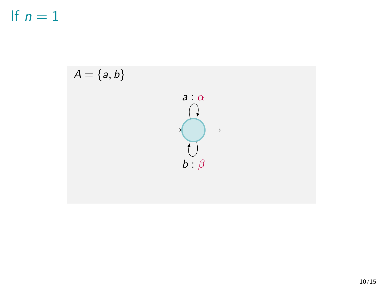If  $n = 1$ 

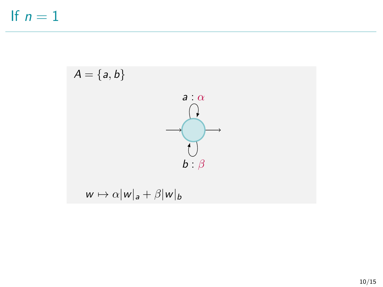If  $n=1$ 

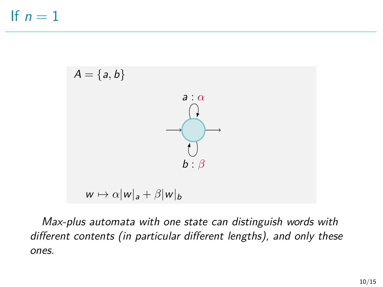

Max-plus automata with one state can distinguish words with different contents (in particular different lengths), and only these ones.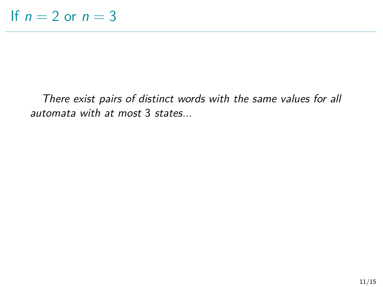There exist pairs of distinct words with the same values for all automata with at most 3 states...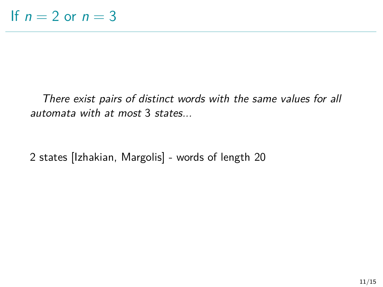There exist pairs of distinct words with the same values for all automata with at most 3 states...

2 states [Izhakian, Margolis] - words of length 20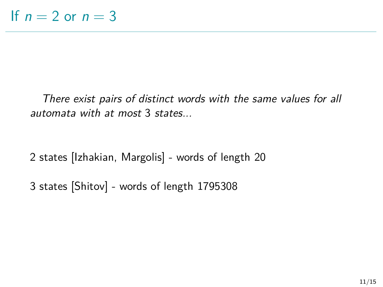There exist pairs of distinct words with the same values for all automata with at most 3 states...

2 states [Izhakian, Margolis] - words of length 20

3 states [Shitov] - words of length 1795308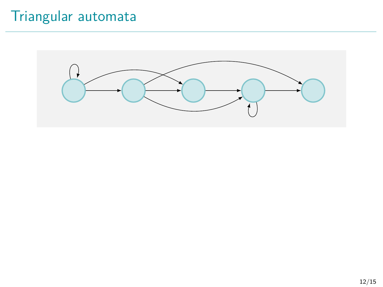# Triangular automata

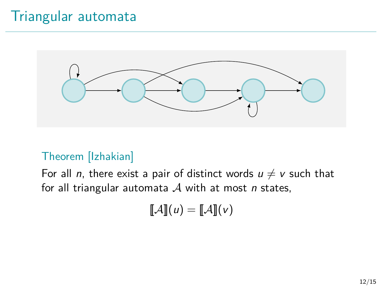## Triangular automata



#### Theorem [Izhakian]

For all *n*, there exist a pair of distinct words  $u \neq v$  such that for all triangular automata  $A$  with at most n states,

$$
\llbracket \mathcal{A} \rrbracket(u) = \llbracket \mathcal{A} \rrbracket(v)
$$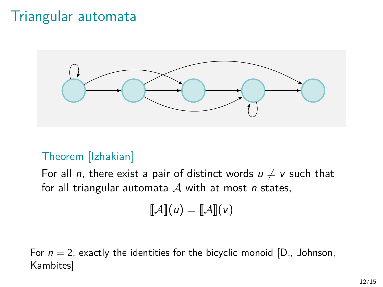## Triangular automata



#### Theorem [Izhakian]

For all *n*, there exist a pair of distinct words  $u \neq v$  such that for all triangular automata  $A$  with at most *n* states,

$$
\llbracket \mathcal{A} \rrbracket(u) = \llbracket \mathcal{A} \rrbracket(v)
$$

For  $n = 2$ , exactly the identities for the bicyclic monoid [D., Johnson, Kambites]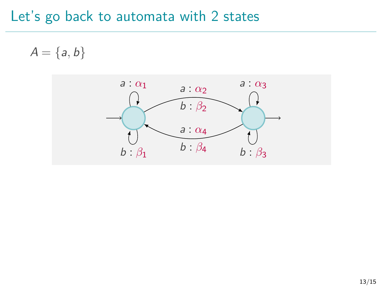$A = \{a, b\}$ 

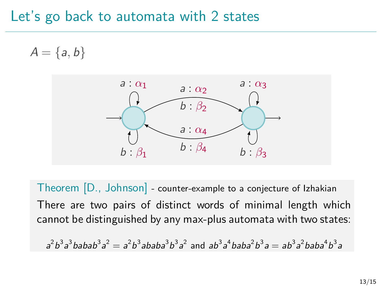$A = \{a, b\}$ 



Theorem [D., Johnson] - counter-example to a conjecture of Izhakian There are two pairs of distinct words of minimal length which cannot be distinguished by any max-plus automata with two states:

 $a^2b^3a^3$ babab $a^3a^2 = a^2b^3$ ababa $^3b^3a^2$  and  $ab^3a^4$ baba $^2b^3a = ab^3a^2$ baba $^4b^3a$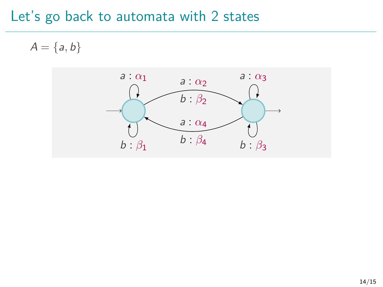$A = \{a, b\}$ 

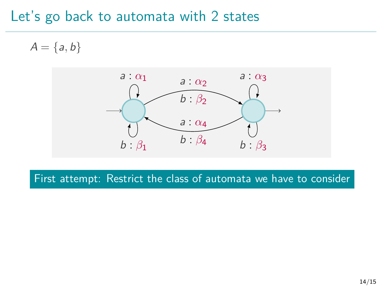$A = \{a, b\}$ 

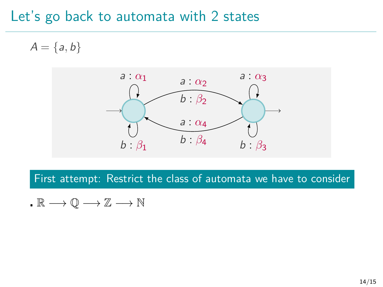$A = \{a, b\}$ 



$$
I\colon\mathbb{R}\longrightarrow\mathbb{Q}\longrightarrow\mathbb{Z}\longrightarrow\mathbb{N}
$$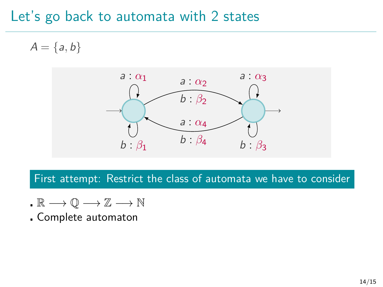$A = \{a, b\}$ 



- $\cdot \mathbb{R} \longrightarrow \mathbb{O} \longrightarrow \mathbb{Z} \longrightarrow \mathbb{N}$
- Complete automaton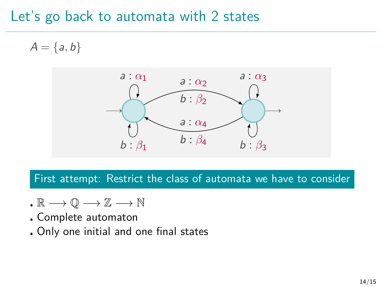$A = \{a, b\}$ 



- $\cdot \mathbb{R} \longrightarrow \mathbb{O} \longrightarrow \mathbb{Z} \longrightarrow \mathbb{N}$
- Complete automaton
- Only one initial and one final states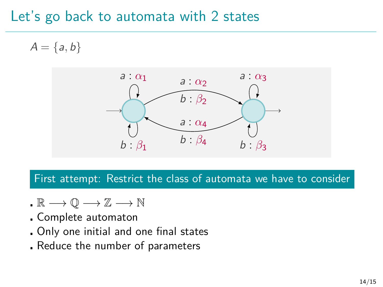$A = \{a, b\}$ 



- $\cdot \mathbb{R} \longrightarrow \mathbb{O} \longrightarrow \mathbb{Z} \longrightarrow \mathbb{N}$
- Complete automaton
- Only one initial and one final states
- Reduce the number of parameters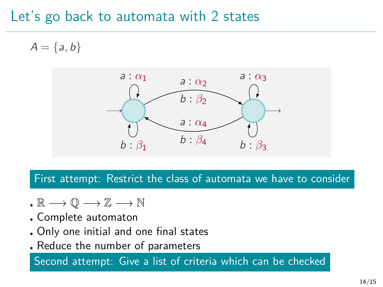$A = \{a, b\}$ 



First attempt: Restrict the class of automata we have to consider

- $\cdot \mathbb{R} \longrightarrow \mathbb{O} \longrightarrow \mathbb{Z} \longrightarrow \mathbb{N}$
- Complete automaton
- Only one initial and one final states
- Reduce the number of parameters

Second attempt: Give a list of criteria which can be checked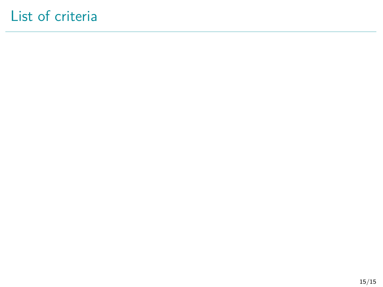## List of criteria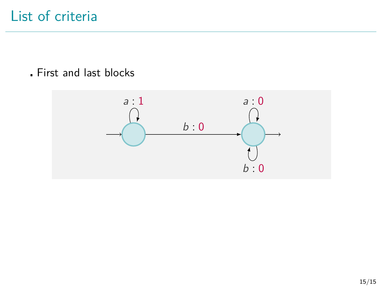First and last blocks

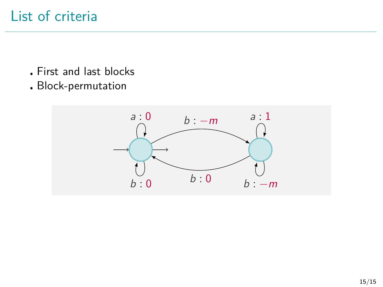- First and last blocks
- Block-permutation

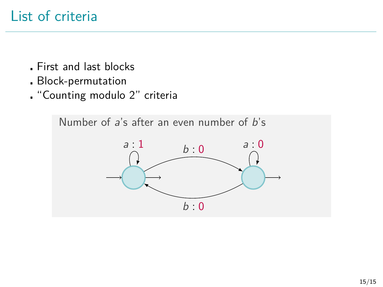- First and last blocks
- Block-permutation
- "Counting modulo 2" criteria